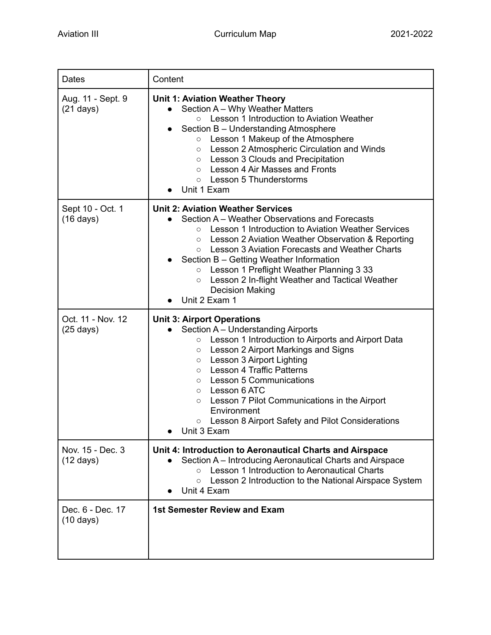| Dates                                    | Content                                                                                                                                                                                                                                                                                                                                                                                                                                                                                                           |
|------------------------------------------|-------------------------------------------------------------------------------------------------------------------------------------------------------------------------------------------------------------------------------------------------------------------------------------------------------------------------------------------------------------------------------------------------------------------------------------------------------------------------------------------------------------------|
| Aug. 11 - Sept. 9<br>$(21 \text{ days})$ | <b>Unit 1: Aviation Weather Theory</b><br>Section A - Why Weather Matters<br>Lesson 1 Introduction to Aviation Weather<br>$\circ$<br>Section B - Understanding Atmosphere<br>$\bullet$<br>Lesson 1 Makeup of the Atmosphere<br>$\circ$<br>Lesson 2 Atmospheric Circulation and Winds<br>$\circ$<br>Lesson 3 Clouds and Precipitation<br>$\circ$<br>Lesson 4 Air Masses and Fronts<br>$\circ$<br><b>Lesson 5 Thunderstorms</b><br>$\circ$<br>Unit 1 Exam                                                           |
| Sept 10 - Oct. 1<br>$(16 \text{ days})$  | <b>Unit 2: Aviation Weather Services</b><br>Section A – Weather Observations and Forecasts<br>$\bullet$<br>Lesson 1 Introduction to Aviation Weather Services<br>$\circ$<br>Lesson 2 Aviation Weather Observation & Reporting<br>$\circ$<br>Lesson 3 Aviation Forecasts and Weather Charts<br>$\circ$<br>Section B - Getting Weather Information<br>Lesson 1 Preflight Weather Planning 3 33<br>$\circ$<br>Lesson 2 In-flight Weather and Tactical Weather<br>$\circ$<br><b>Decision Making</b><br>Unit 2 Exam 1  |
| Oct. 11 - Nov. 12<br>$(25 \text{ days})$ | <b>Unit 3: Airport Operations</b><br>Section A - Understanding Airports<br>Lesson 1 Introduction to Airports and Airport Data<br>$\circ$<br>Lesson 2 Airport Markings and Signs<br>$\circ$<br>Lesson 3 Airport Lighting<br>$\circ$<br><b>Lesson 4 Traffic Patterns</b><br>$\circ$<br><b>Lesson 5 Communications</b><br>$\circ$<br>Lesson 6 ATC<br>$\circ$<br>Lesson 7 Pilot Communications in the Airport<br>$\circ$<br>Environment<br>Lesson 8 Airport Safety and Pilot Considerations<br>$\circ$<br>Unit 3 Exam |
| Nov. 15 - Dec. 3<br>$(12 \text{ days})$  | Unit 4: Introduction to Aeronautical Charts and Airspace<br>Section A – Introducing Aeronautical Charts and Airspace<br>Lesson 1 Introduction to Aeronautical Charts<br>$\circ$<br>Lesson 2 Introduction to the National Airspace System<br>$\circ$<br>Unit 4 Exam                                                                                                                                                                                                                                                |
| Dec. 6 - Dec. 17<br>$(10 \text{ days})$  | <b>1st Semester Review and Exam</b>                                                                                                                                                                                                                                                                                                                                                                                                                                                                               |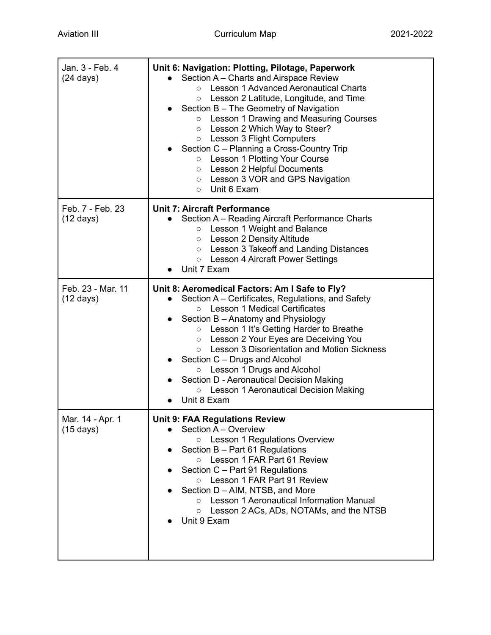| Jan. 3 - Feb. 4<br>$(24 \text{ days})$   | Unit 6: Navigation: Plotting, Pilotage, Paperwork<br>Section A - Charts and Airspace Review<br><b>Lesson 1 Advanced Aeronautical Charts</b><br>$\circ$<br>Lesson 2 Latitude, Longitude, and Time<br>$\circ$<br>Section B - The Geometry of Navigation<br>Lesson 1 Drawing and Measuring Courses<br>$\circ$<br>Lesson 2 Which Way to Steer?<br>$\circ$<br><b>Lesson 3 Flight Computers</b><br>$\circ$<br>Section C - Planning a Cross-Country Trip<br>○ Lesson 1 Plotting Your Course<br><b>Lesson 2 Helpful Documents</b><br>$\circ$<br>○ Lesson 3 VOR and GPS Navigation<br>$\circ$ Unit 6 Exam |
|------------------------------------------|--------------------------------------------------------------------------------------------------------------------------------------------------------------------------------------------------------------------------------------------------------------------------------------------------------------------------------------------------------------------------------------------------------------------------------------------------------------------------------------------------------------------------------------------------------------------------------------------------|
| Feb. 7 - Feb. 23<br>$(12 \text{ days})$  | <b>Unit 7: Aircraft Performance</b><br>Section A - Reading Aircraft Performance Charts<br>Lesson 1 Weight and Balance<br>$\circ$<br>Lesson 2 Density Altitude<br>$\circ$<br>Lesson 3 Takeoff and Landing Distances<br>$\circ$<br>○ Lesson 4 Aircraft Power Settings<br>Unit 7 Exam                                                                                                                                                                                                                                                                                                               |
| Feb. 23 - Mar. 11<br>$(12 \text{ days})$ | Unit 8: Aeromedical Factors: Am I Safe to Fly?<br>Section A – Certificates, Regulations, and Safety<br><b>Lesson 1 Medical Certificates</b><br>$\circ$<br>Section B - Anatomy and Physiology<br>Lesson 1 It's Getting Harder to Breathe<br>$\circ$<br>Lesson 2 Your Eyes are Deceiving You<br>$\circ$<br>Lesson 3 Disorientation and Motion Sickness<br>$\circ$<br>Section C - Drugs and Alcohol<br>Lesson 1 Drugs and Alcohol<br>$\circ$<br>Section D - Aeronautical Decision Making<br>O Lesson 1 Aeronautical Decision Making<br>Unit 8 Exam                                                  |
| Mar. 14 - Apr. 1<br>$(15 \text{ days})$  | <b>Unit 9: FAA Regulations Review</b><br>Section A - Overview<br>Lesson 1 Regulations Overview<br>$\circ$<br>Section B - Part 61 Regulations<br>Lesson 1 FAR Part 61 Review<br>$\circ$<br>Section C - Part 91 Regulations<br>Lesson 1 FAR Part 91 Review<br>$\circ$<br>Section D – AIM, NTSB, and More<br>○ Lesson 1 Aeronautical Information Manual<br>Lesson 2 ACs, ADs, NOTAMs, and the NTSB<br>$\circ$<br>Unit 9 Exam                                                                                                                                                                        |